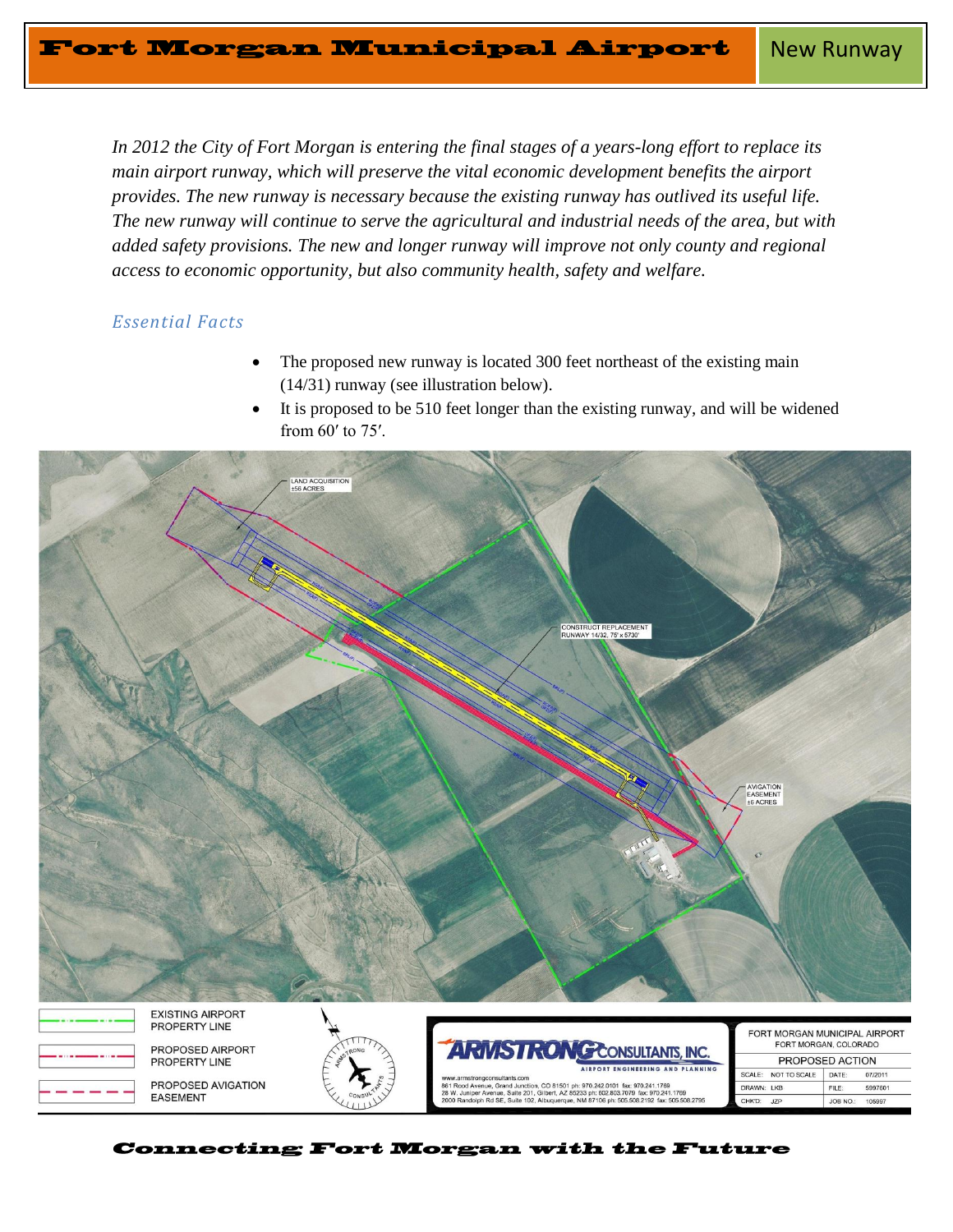*In 2012 the City of Fort Morgan is entering the final stages of a years-long effort to replace its main airport runway, which will preserve the vital economic development benefits the airport provides. The new runway is necessary because the existing runway has outlived its useful life. The new runway will continue to serve the agricultural and industrial needs of the area, but with added safety provisions. The new and longer runway will improve not only county and regional access to economic opportunity, but also community health, safety and welfare.*

## *Essential Facts*

- The proposed new runway is located 300 feet northeast of the existing main (14/31) runway (see illustration below).
- It is proposed to be 510 feet longer than the existing runway, and will be widened from 60′ to 75′.





PROPOSED AVIGATION **EASEMENT** 





| FORT MORGAN MUNICIPAL AIRPORT<br>FORT MORGAN, COLORADO |                     |          |         |
|--------------------------------------------------------|---------------------|----------|---------|
|                                                        | PROPOSED ACTION     |          |         |
|                                                        | SCALE: NOT TO SCALE | DATE:    | 07/2011 |
| DRAWN: IKB                                             |                     | FILE:    | 5997601 |
| CHK'D:                                                 | JZP                 | JOB NO.: | 105997  |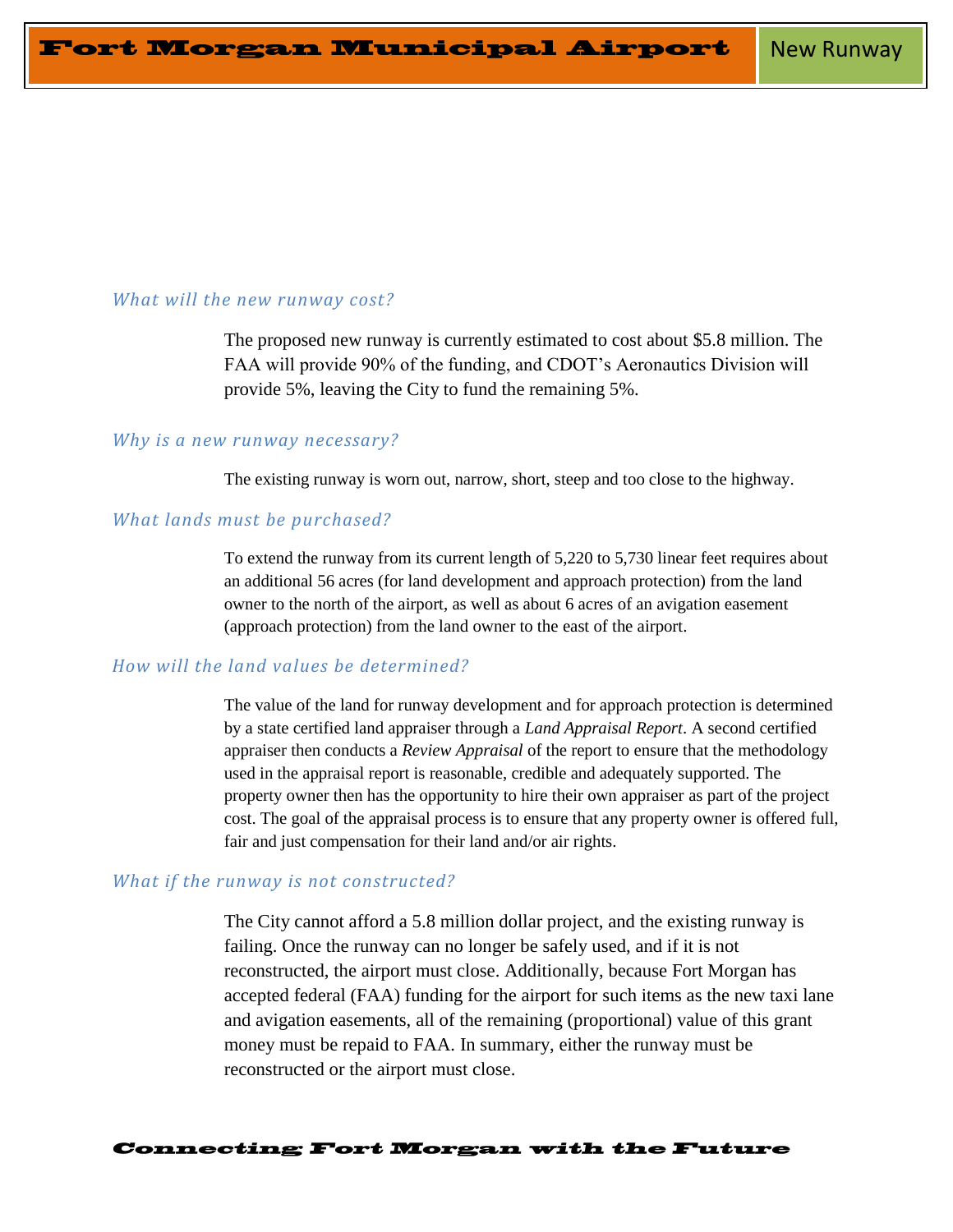# *What will the new runway cost?*

The proposed new runway is currently estimated to cost about \$5.8 million. The FAA will provide 90% of the funding, and CDOT's Aeronautics Division will provide 5%, leaving the City to fund the remaining 5%.

### *Why is a new runway necessary?*

The existing runway is worn out, narrow, short, steep and too close to the highway.

# *What lands must be purchased?*

To extend the runway from its current length of 5,220 to 5,730 linear feet requires about an additional 56 acres (for land development and approach protection) from the land owner to the north of the airport, as well as about 6 acres of an avigation easement (approach protection) from the land owner to the east of the airport.

# *How will the land values be determined?*

The value of the land for runway development and for approach protection is determined by a state certified land appraiser through a *Land Appraisal Report*. A second certified appraiser then conducts a *Review Appraisal* of the report to ensure that the methodology used in the appraisal report is reasonable, credible and adequately supported. The property owner then has the opportunity to hire their own appraiser as part of the project cost. The goal of the appraisal process is to ensure that any property owner is offered full, fair and just compensation for their land and/or air rights.

# *What if the runway is not constructed?*

The City cannot afford a 5.8 million dollar project, and the existing runway is failing. Once the runway can no longer be safely used, and if it is not reconstructed, the airport must close. Additionally, because Fort Morgan has accepted federal (FAA) funding for the airport for such items as the new taxi lane and avigation easements, all of the remaining (proportional) value of this grant money must be repaid to FAA. In summary, either the runway must be reconstructed or the airport must close.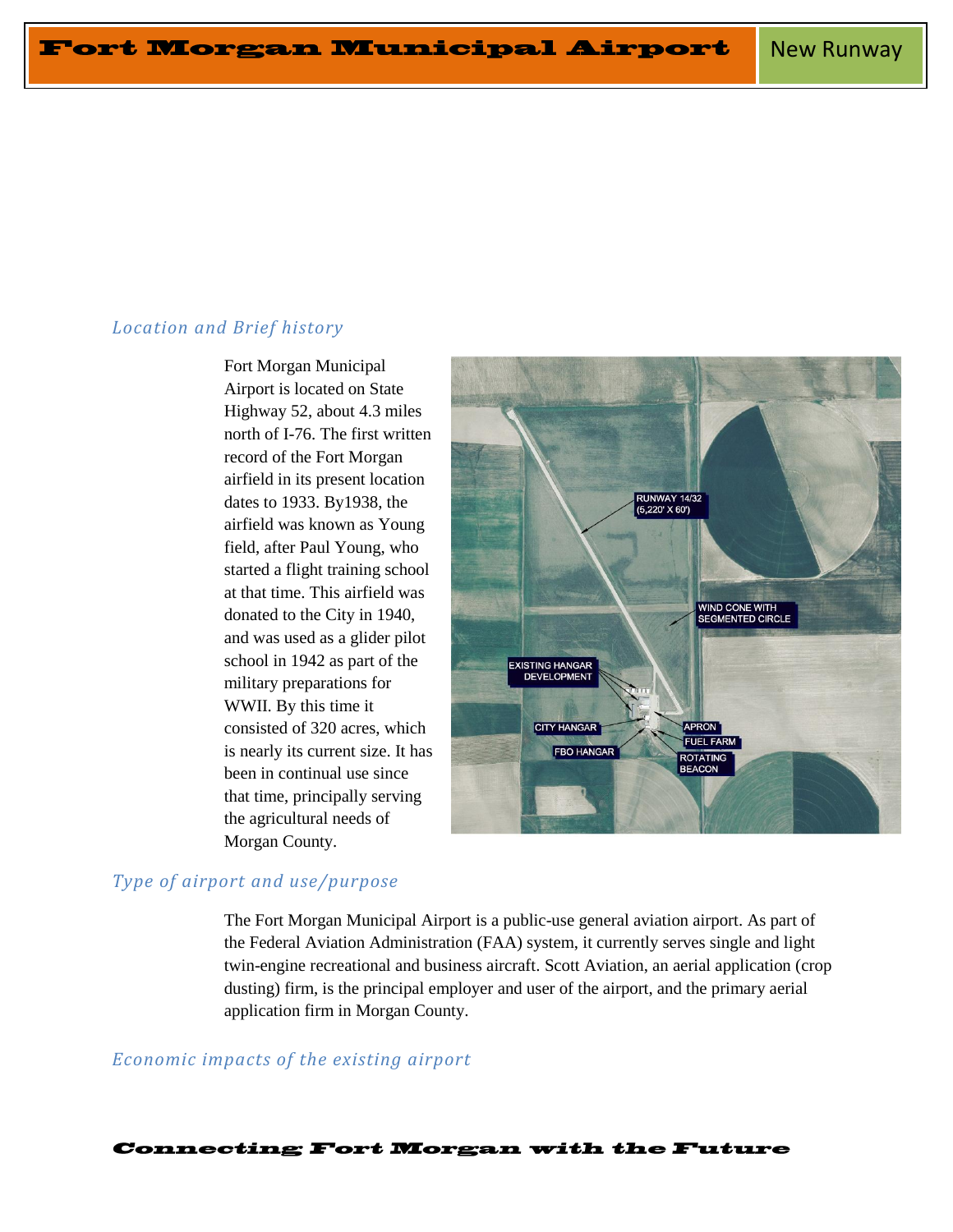## *Location and Brief history*

Fort Morgan Municipal Airport is located on State Highway 52, about 4.3 miles north of I-76. The first written record of the Fort Morgan airfield in its present location dates to 1933. By1938, the airfield was known as Young field, after Paul Young, who started a flight training school at that time. This airfield was donated to the City in 1940, and was used as a glider pilot school in 1942 as part of the military preparations for WWII. By this time it consisted of 320 acres, which is nearly its current size. It has been in continual use since that time, principally serving the agricultural needs of Morgan County.



## *Type of airport and use/purpose*

The Fort Morgan Municipal Airport is a public-use general aviation airport. As part of the Federal Aviation Administration (FAA) system, it currently serves single and light twin-engine recreational and business aircraft. Scott Aviation, an aerial application (crop dusting) firm, is the principal employer and user of the airport, and the primary aerial application firm in Morgan County.

### *Economic impacts of the existing airport*

**Connecting Fort Morgan with the Future**